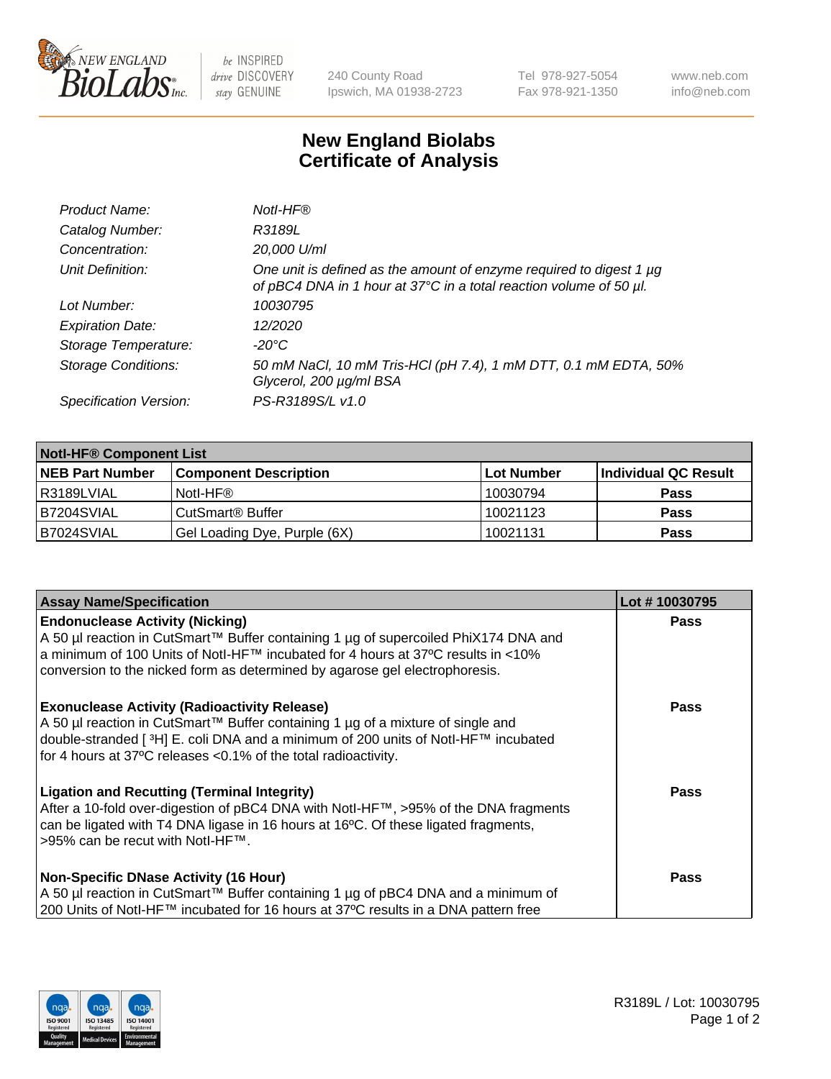

be INSPIRED drive DISCOVERY stay GENUINE

240 County Road Ipswich, MA 01938-2723 Tel 978-927-5054 Fax 978-921-1350 www.neb.com info@neb.com

## **New England Biolabs Certificate of Analysis**

| Product Name:              | Notl-HF®                                                                                                                                  |
|----------------------------|-------------------------------------------------------------------------------------------------------------------------------------------|
| Catalog Number:            | R3189L                                                                                                                                    |
| Concentration:             | 20,000 U/ml                                                                                                                               |
| Unit Definition:           | One unit is defined as the amount of enzyme required to digest 1 µg<br>of pBC4 DNA in 1 hour at 37°C in a total reaction volume of 50 µl. |
| Lot Number:                | 10030795                                                                                                                                  |
| <b>Expiration Date:</b>    | 12/2020                                                                                                                                   |
| Storage Temperature:       | $-20^{\circ}$ C                                                                                                                           |
| <b>Storage Conditions:</b> | 50 mM NaCl, 10 mM Tris-HCl (pH 7.4), 1 mM DTT, 0.1 mM EDTA, 50%<br>Glycerol, 200 µg/ml BSA                                                |
| Specification Version:     | PS-R3189S/L v1.0                                                                                                                          |

| <b>Notl-HF® Component List</b> |                              |            |                      |  |
|--------------------------------|------------------------------|------------|----------------------|--|
| <b>NEB Part Number</b>         | <b>Component Description</b> | Lot Number | Individual QC Result |  |
| R3189LVIAL                     | Notl-HF®                     | 10030794   | <b>Pass</b>          |  |
| B7204SVIAL                     | CutSmart <sup>®</sup> Buffer | 10021123   | <b>Pass</b>          |  |
| B7024SVIAL                     | Gel Loading Dye, Purple (6X) | 10021131   | <b>Pass</b>          |  |

| <b>Assay Name/Specification</b>                                                                                                                                                                                                                                                                 | Lot #10030795 |
|-------------------------------------------------------------------------------------------------------------------------------------------------------------------------------------------------------------------------------------------------------------------------------------------------|---------------|
| <b>Endonuclease Activity (Nicking)</b>                                                                                                                                                                                                                                                          | <b>Pass</b>   |
| A 50 µl reaction in CutSmart™ Buffer containing 1 µg of supercoiled PhiX174 DNA and<br> a minimum of 100 Units of Notl-HF™ incubated for 4 hours at 37°C results in <10%<br>conversion to the nicked form as determined by agarose gel electrophoresis.                                         |               |
| <b>Exonuclease Activity (Radioactivity Release)</b><br>  A 50 µl reaction in CutSmart™ Buffer containing 1 µg of a mixture of single and<br>double-stranded [3H] E. coli DNA and a minimum of 200 units of Notl-HF™ incubated<br>for 4 hours at 37°C releases <0.1% of the total radioactivity. | <b>Pass</b>   |
| <b>Ligation and Recutting (Terminal Integrity)</b><br>After a 10-fold over-digestion of pBC4 DNA with Notl-HF™, >95% of the DNA fragments<br>can be ligated with T4 DNA ligase in 16 hours at 16 $\degree$ C. Of these ligated fragments,<br>1>95% can be recut with NotI-HF™.                  | Pass          |
| <b>Non-Specific DNase Activity (16 Hour)</b><br>A 50 µl reaction in CutSmart™ Buffer containing 1 µg of pBC4 DNA and a minimum of<br>200 Units of Notl-HF™ incubated for 16 hours at 37°C results in a DNA pattern free                                                                         | <b>Pass</b>   |